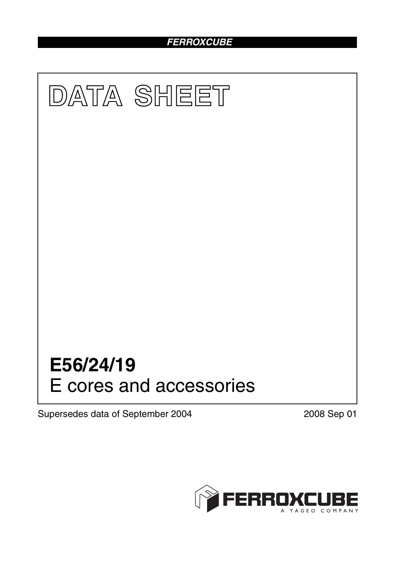### *FERROXCUBE*



Supersedes data of September 2004 2008 Sep 01

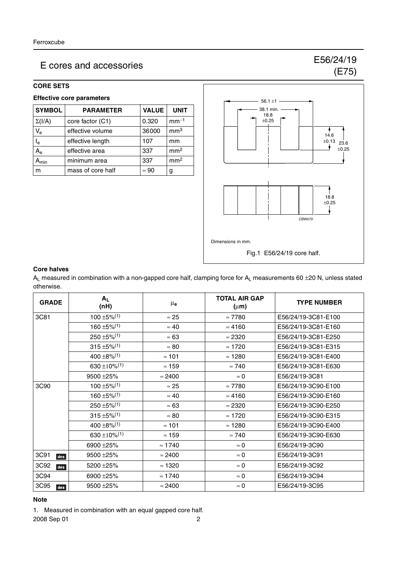#### **CORE SETS**

#### **Effective core parameters**

| <b>SYMBOL</b>             | <b>PARAMETER</b>  | <b>VALUE</b> | <b>UNIT</b>     |
|---------------------------|-------------------|--------------|-----------------|
| $\Sigma(I/A)$             | core factor (C1)  | 0.320        | $mm-1$          |
| $V_{\rm e}$               | effective volume  | 36000        | mm <sup>3</sup> |
| $\mathsf{I}_{\mathsf{e}}$ | effective length  | 107          | mm              |
| $A_{e}$                   | effective area    | 337          | mm <sup>2</sup> |
| יmin                      | minimum area      | 337          | mm <sup>2</sup> |
| m                         | mass of core half | $\approx 90$ | g               |



#### **Core halves**

 $A_L$  measured in combination with a non-gapped core half, clamping force for  $A_L$  measurements 60 ±20 N, unless stated otherwise.

| <b>GRADE</b> | $A_L$<br>(nH)                         | $\mu_{\mathbf{e}}$ | <b>TOTAL AIR GAP</b><br>$(\mu m)$ | <b>TYPE NUMBER</b>  |
|--------------|---------------------------------------|--------------------|-----------------------------------|---------------------|
| 3C81         | $100 \pm 5\%$ <sup>(1)</sup>          | $\approx 25$       | $\approx 7780$                    | E56/24/19-3C81-E100 |
|              | $160 \pm 5\%/1$                       | $\approx 40$       | $\approx 4160$                    | E56/24/19-3C81-E160 |
|              | $250 \pm 5\%$ <sup>(1)</sup>          | $\approx 63$       | $\approx 2320$                    | E56/24/19-3C81-E250 |
|              | $315 \pm 5\%/1$                       | $\approx 80$       | $\approx$ 1720                    | E56/24/19-3C81-E315 |
|              | 400 $\pm$ 8% <sup>(1)</sup>           | $\approx$ 101      | $\approx$ 1280                    | E56/24/19-3C81-E400 |
|              | 630 ±10% <sup>(1)</sup>               | $\approx$ 159      | $\approx 740$                     | E56/24/19-3C81-E630 |
|              | 9500 ± 25%                            | $\approx$ 2400     | $\approx 0$                       | E56/24/19-3C81      |
| 3C90         | $100 \pm 5\%$ <sup>(1)</sup>          | $\approx 25$       | $\approx 7780$                    | E56/24/19-3C90-E100 |
|              | $160 \pm 5\%$ <sup>(1)</sup>          | $\approx 40$       | $\approx 4160$                    | E56/24/19-3C90-E160 |
|              | $250 \pm 5\%$ <sup>(1)</sup>          | $\approx 63$       | $\approx 2320$                    | E56/24/19-3C90-E250 |
|              | $315 \pm 5\%/1$                       | $\approx 80$       | $\approx$ 1720                    | E56/24/19-3C90-E315 |
|              | $400 \pm 8\%/1$                       | $\approx$ 101      | $\approx$ 1280                    | E56/24/19-3C90-E400 |
|              | 630 ± 10% <sup><math>(1)</math></sup> | $\approx$ 159      | $\approx 740$                     | E56/24/19-3C90-E630 |
|              | 6900 ± 25%                            | $\approx$ 1740     | $\approx 0$                       | E56/24/19-3C90      |
| 3C91<br>des  | 9500 ± 25%                            | $\approx$ 2400     | $\approx 0$                       | E56/24/19-3C91      |
| 3C92<br>des  | 5200 ± 25%                            | $\approx$ 1320     | $\approx 0$                       | E56/24/19-3C92      |
| 3C94         | 6900 ± 25%                            | $\approx$ 1740     | $\approx 0$                       | E56/24/19-3C94      |
| 3C95<br>des  | 9500 ± 25%                            | $\approx$ 2400     | $\approx 0$                       | E56/24/19-3C95      |

#### **Note**

1. Measured in combination with an equal gapped core half.

2008 Sep 01 2

(E75)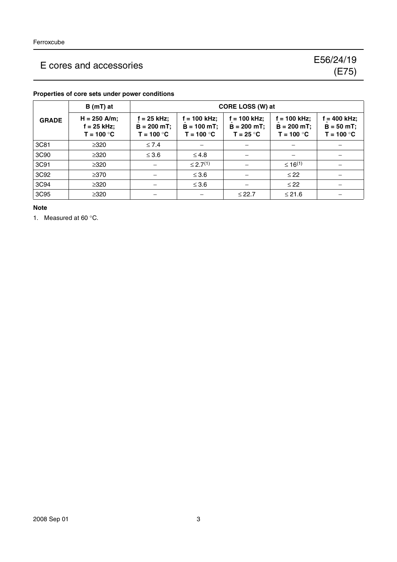|              | $B(mT)$ at                                      | CORE LOSS (W) at                                |                                                  |                                                |                                                  |                                             |
|--------------|-------------------------------------------------|-------------------------------------------------|--------------------------------------------------|------------------------------------------------|--------------------------------------------------|---------------------------------------------|
| <b>GRADE</b> | $H = 250$ A/m;<br>$f = 25$ kHz;<br>$T = 100 °C$ | $f = 25$ kHz;<br>$B = 200 mT$ ;<br>$T = 100 °C$ | $f = 100$ kHz;<br>$B = 100 mT$ ;<br>$T = 100 °C$ | $f = 100$ kHz;<br>$B = 200$ mT;<br>$T = 25 °C$ | $f = 100$ kHz;<br>$B = 200 mT$ ;<br>$T = 100 °C$ | = 400 kHz;<br>$B = 50 mT$ ;<br>$T = 100 °C$ |
| 3C81         | $\geq$ 320                                      | $\leq 7.4$                                      |                                                  |                                                |                                                  |                                             |
| 3C90         | $\geq 320$                                      | $\leq 3.6$                                      | $\leq 4.8$                                       |                                                |                                                  |                                             |
| 3C91         | $\geq 320$                                      |                                                 | $\leq$ 2.7 <sup>(1)</sup>                        |                                                | $\leq 16^{(1)}$                                  |                                             |
| 3C92         | $\geq$ 370                                      |                                                 | $\leq 3.6$                                       |                                                | $\leq$ 22                                        |                                             |
| 3C94         | $\geq 320$                                      |                                                 | $\leq 3.6$                                       |                                                | $\leq$ 22                                        |                                             |
| 3C95         | $\geq 320$                                      |                                                 |                                                  | $≤ 22.7$                                       | $≤ 21.6$                                         |                                             |

#### **Properties of core sets under power conditions**

#### **Note**

1. Measured at 60 °C.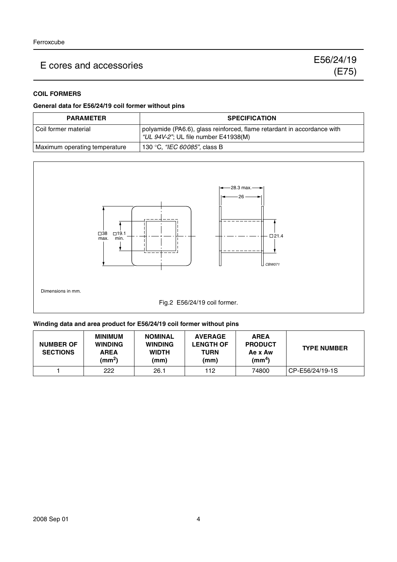#### **COIL FORMERS**

#### **General data for E56/24/19 coil former without pins**

| <b>PARAMETER</b>              | <b>SPECIFICATION</b>                                                                                            |
|-------------------------------|-----------------------------------------------------------------------------------------------------------------|
| l Coil former material        | polyamide (PA6.6), glass reinforced, flame retardant in accordance with<br>"UL 94V-2"; UL file number E41938(M) |
| Maximum operating temperature | 130 °C, "IEC 60085", class B                                                                                    |



#### **Winding data and area product for E56/24/19 coil former without pins**

| <b>NUMBER OF</b><br><b>SECTIONS</b> | <b>MINIMUM</b><br><b>WINDING</b><br><b>AREA</b><br>(mm <sup>2</sup> ) | <b>NOMINAL</b><br><b>WINDING</b><br><b>WIDTH</b><br>(mm) | <b>AVERAGE</b><br><b>LENGTH OF</b><br><b>TURN</b><br>(mm) | <b>AREA</b><br><b>PRODUCT</b><br>Ae x Aw<br>(mm <sup>4</sup> ) | <b>TYPE NUMBER</b> |
|-------------------------------------|-----------------------------------------------------------------------|----------------------------------------------------------|-----------------------------------------------------------|----------------------------------------------------------------|--------------------|
|                                     | 222                                                                   | 26.1                                                     | 112                                                       | 74800                                                          | CP-E56/24/19-1S    |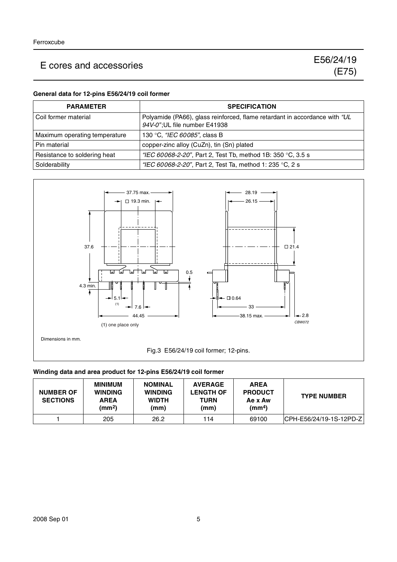#### **General data for 12-pins E56/24/19 coil former**

| <b>PARAMETER</b>              | <b>SPECIFICATION</b>                                                                                        |
|-------------------------------|-------------------------------------------------------------------------------------------------------------|
| Coil former material          | Polyamide (PA66), glass reinforced, flame retardant in accordance with "UL<br>94V-0"; UL file number E41938 |
| Maximum operating temperature | 130 °C, "IEC 60085", class B                                                                                |
| Pin material                  | copper-zinc alloy (CuZn), tin (Sn) plated                                                                   |
| Resistance to soldering heat  | "IEC 60068-2-20", Part 2, Test Tb, method 1B: 350 °C, 3.5 s                                                 |
| Solderability                 | "IEC 60068-2-20", Part 2, Test Ta, method 1: 235 °C, 2 s                                                    |



#### **Winding data and area product for 12-pins E56/24/19 coil former**

| <b>NUMBER OF</b><br><b>SECTIONS</b> | <b>MINIMUM</b><br><b>WINDING</b><br><b>AREA</b><br>(mm <sup>2</sup> ) | <b>NOMINAL</b><br><b>WINDING</b><br><b>WIDTH</b><br>(mm) | <b>AVERAGE</b><br><b>LENGTH OF</b><br><b>TURN</b><br>(mm) | <b>AREA</b><br><b>PRODUCT</b><br>Ae x Aw<br>$\text{(mm}^4)$ | <b>TYPE NUMBER</b>       |
|-------------------------------------|-----------------------------------------------------------------------|----------------------------------------------------------|-----------------------------------------------------------|-------------------------------------------------------------|--------------------------|
|                                     | 205                                                                   | 26.2                                                     | 114                                                       | 69100                                                       | ICPH-E56/24/19-1S-12PD-Z |